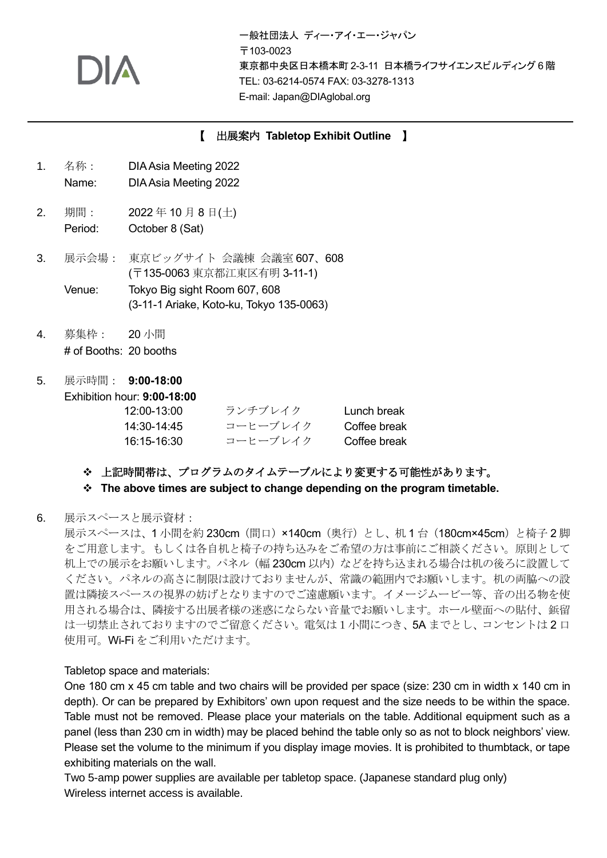一般社団法人 ディー・アイ・エー・ジャパン 〒103-0023 東京都中央区日本橋本町 2-3-11 日本橋ライフサイエンスビルディング 6 階 TEL: 03-6214-0574 FAX: 03-3278-1313 E-mail: Japan@DIAglobal.org

### 【 出展案内 **Tabletop Exhibit Outline** 】

- 1. 名称: DIAAsia Meeting 2022
	- Name: DIA Asia Meeting 2022
- 2. 期間: 2022 年 10 月 8 日(土) Period: October 8 (Sat)
- 3. 展示会場: 東京ビッグサイト 会議棟 会議室 607、608 (〒135-0063 東京都江東区有明 3-11-1) Venue: Tokyo Big sight Room 607, 608 (3-11-1 Ariake, Koto-ku, Tokyo 135-0063)
- 4. 募集枠: 20 小間 # of Booths: 20 booths
- 5. 展示時間: **9:00-18:00**

Exhibition hour: **9:00-18:00**

| 12:00-13:00 | ランチブレイク  | Lunch break  |
|-------------|----------|--------------|
| 14:30-14:45 | コーヒーブレイク | Coffee break |
| 16:15-16:30 | コーヒーブレイク | Coffee break |

### ❖ 上記時間帯は、プログラムのタイムテーブルにより変更する可能性があります。

### ❖ **The above times are subject to change depending on the program timetable.**

### 6. 展示スペースと展示資材:

展示スペースは、1小間を約 230cm (間口) ×140cm (奥行) とし、机 1 台 (180cm×45cm) と椅子 2 脚 をご用意します。もしくは各自机と椅子の持ち込みをご希望の方は事前にご相談ください。原則として 机上での展示をお願いします。パネル (幅 230cm 以内) などを持ち込まれる場合は机の後ろに設置して ください。パネルの高さに制限は設けておりませんが、常識の範囲内でお願いします。机の両脇への設 置は隣接スペースの視界の妨げとなりますのでご遠慮願います。イメージムービー等、音の出る物を使 用される場合は、隣接する出展者様の迷惑にならない音量でお願いします。ホール壁面への貼付、鋲留 は一切禁止されておりますのでご留意ください。電気は1小間につき、5A までとし、コンセントは 2 口 使用可。Wi-Fi をご利用いただけます。

### Tabletop space and materials:

One 180 cm x 45 cm table and two chairs will be provided per space (size: 230 cm in width x 140 cm in depth). Or can be prepared by Exhibitors' own upon request and the size needs to be within the space. Table must not be removed. Please place your materials on the table. Additional equipment such as a panel (less than 230 cm in width) may be placed behind the table only so as not to block neighbors' view. Please set the volume to the minimum if you display image movies. It is prohibited to thumbtack, or tape exhibiting materials on the wall.

Two 5-amp power supplies are available per tabletop space. (Japanese standard plug only) Wireless internet access is available.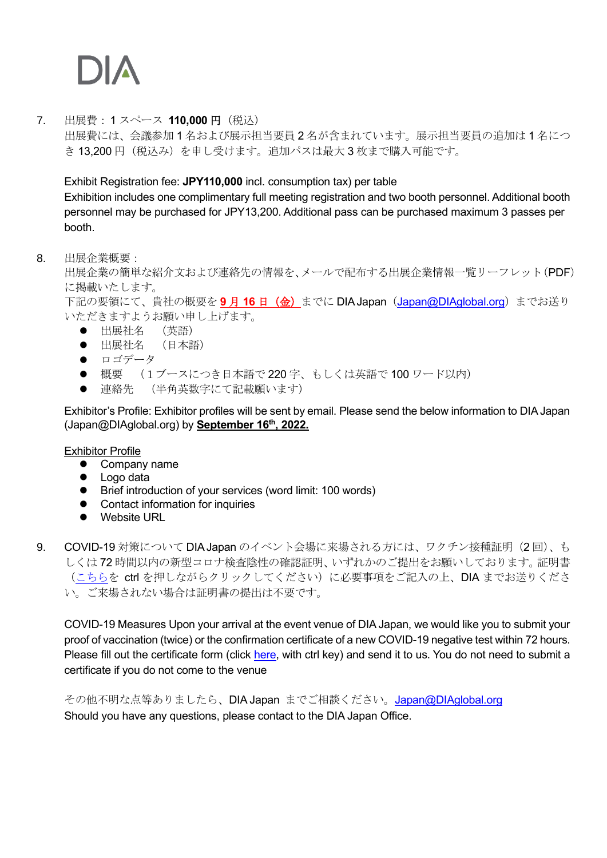7. 出展費:1 スペース **110,000** 円(税込) 出展費には、会議参加 1 名および展示担当要員 2 名が含まれています。展示担当要員の追加は 1 名につ き 13,200 円(税込み)を申し受けます。追加パスは最大 3 枚まで購入可能です。

Exhibit Registration fee: **JPY110,000** incl. consumption tax) per table

Exhibition includes one complimentary full meeting registration and two booth personnel. Additional booth personnel may be purchased for JPY13,200. Additional pass can be purchased maximum 3 passes per booth.

## 8. 出展企業概要:

出展企業の簡単な紹介文および連絡先の情報を、メールで配布する出展企業情報一覧リーフレット(PDF) に掲載いたします。

下記の要領にて、貴社の概要を9月16日 (金)までに DIA Japan ([Japan@DIAglobal.org](mailto:Japan@DIAglobal.org)) までお送り いただきますようお願い申し上げます。

- ⚫ 出展社名 (英語)
- ⚫ 出展社名 (日本語)
- ロゴデータ
- 概要 (1ブースにつき日本語で 220 字、もしくは英語で 100 ワード以内)
- 連絡先 (半角英数字にて記載願います)

Exhibitor's Profile: Exhibitor profiles will be sent by email. Please send the below information to DIA Japan (Japan@DIAglobal.org) by **September 16th, 2022.**

### Exhibitor Profile

- Company name
- Logo data
- Brief introduction of your services (word limit: 100 words)
- Contact information for inquiries
- Website URL
- 9. COVID-19 対策について DIA Japan のイベント会場に来場される方には、ワクチン接種証明(2回)、も しくは 72 時間以内の新型コロナ検査陰性の確認証明、いずれかのご提出をお願いしております。証明書 [\(こちらを](https://www.diaglobal.org/productfiles/10087036/Vaccination_Certificate.pdf) ctrl を押しながらクリックしてください)に必要事項をご記入の上、DIA までお送りくださ い。ご来場されない場合は証明書の提出は不要です。

COVID-19 Measures Upon your arrival at the event venue of DIA Japan, we would like you to submit your proof of vaccination (twice) or the confirmation certificate of a new COVID-19 negative test within 72 hours. Please fill out the certificate form (click [here,](https://www.diaglobal.org/productfiles/10087036/Vaccination_Certificate.pdf) with ctrl key) and send it to us. You do not need to submit a certificate if you do not come to the venue

その他不明な点等ありましたら、DIA Japan までご相談ください。[Japan@DIAglobal.org](mailto:Japan@DIAglobal.org) Should you have any questions, please contact to the DIA Japan Office.